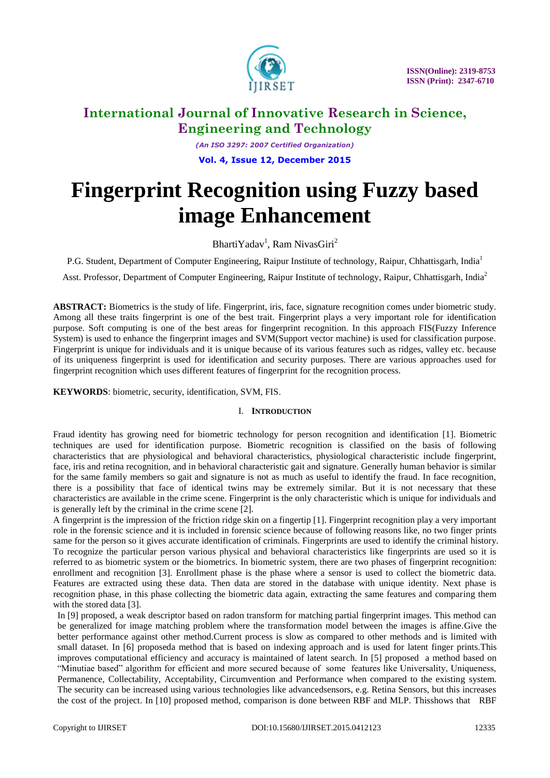

*(An ISO 3297: 2007 Certified Organization)* **Vol. 4, Issue 12, December 2015**

# **Fingerprint Recognition using Fuzzy based image Enhancement**

BhartiYadav<sup>1</sup>, Ram NivasGiri<sup>2</sup>

P.G. Student, Department of Computer Engineering, Raipur Institute of technology, Raipur, Chhattisgarh, India<sup>1</sup>

Asst. Professor, Department of Computer Engineering, Raipur Institute of technology, Raipur, Chhattisgarh, India<sup>2</sup>

**ABSTRACT:** Biometrics is the study of life. Fingerprint, iris, face, signature recognition comes under biometric study. Among all these traits fingerprint is one of the best trait. Fingerprint plays a very important role for identification purpose. Soft computing is one of the best areas for fingerprint recognition. In this approach FIS(Fuzzy Inference System) is used to enhance the fingerprint images and SVM(Support vector machine) is used for classification purpose. Fingerprint is unique for individuals and it is unique because of its various features such as ridges, valley etc. because of its uniqueness fingerprint is used for identification and security purposes. There are various approaches used for fingerprint recognition which uses different features of fingerprint for the recognition process.

**KEYWORDS**: biometric, security, identification, SVM, FIS.

### I. **INTRODUCTION**

Fraud identity has growing need for biometric technology for person recognition and identification [1]. Biometric techniques are used for identification purpose. Biometric recognition is classified on the basis of following characteristics that are physiological and behavioral characteristics, physiological characteristic include fingerprint, face, iris and retina recognition, and in behavioral characteristic gait and signature. Generally human behavior is similar for the same family members so gait and signature is not as much as useful to identify the fraud. In face recognition, there is a possibility that face of identical twins may be extremely similar. But it is not necessary that these characteristics are available in the crime scene. Fingerprint is the only characteristic which is unique for individuals and is generally left by the criminal in the crime scene [2].

A fingerprint is the impression of the friction ridge skin on a fingertip [1]. Fingerprint recognition play a very important role in the forensic science and it is included in forensic science because of following reasons like, no two finger prints same for the person so it gives accurate identification of criminals. Fingerprints are used to identify the criminal history. To recognize the particular person various physical and behavioral characteristics like fingerprints are used so it is referred to as biometric system or the biometrics. In biometric system, there are two phases of fingerprint recognition: enrollment and recognition [3]. Enrollment phase is the phase where a sensor is used to collect the biometric data. Features are extracted using these data. Then data are stored in the database with unique identity. Next phase is recognition phase, in this phase collecting the biometric data again, extracting the same features and comparing them with the stored data [3].

In [9] proposed, a weak descriptor based on radon transform for matching partial fingerprint images. This method can be generalized for image matching problem where the transformation model between the images is affine.Give the better performance against other method.Current process is slow as compared to other methods and is limited with small dataset. In [6] proposeda method that is based on indexing approach and is used for latent finger prints.This improves computational efficiency and accuracy is maintained of latent search. In [5] proposed a method based on "Minutiae based" algorithm for efficient and more secured because of some features like Universality, Uniqueness, Permanence, Collectability, Acceptability, Circumvention and Performance when compared to the existing system. The security can be increased using various technologies like advancedsensors, e.g. Retina Sensors, but this increases the cost of the project. In [10] proposed method, comparison is done between RBF and MLP. Thisshows that RBF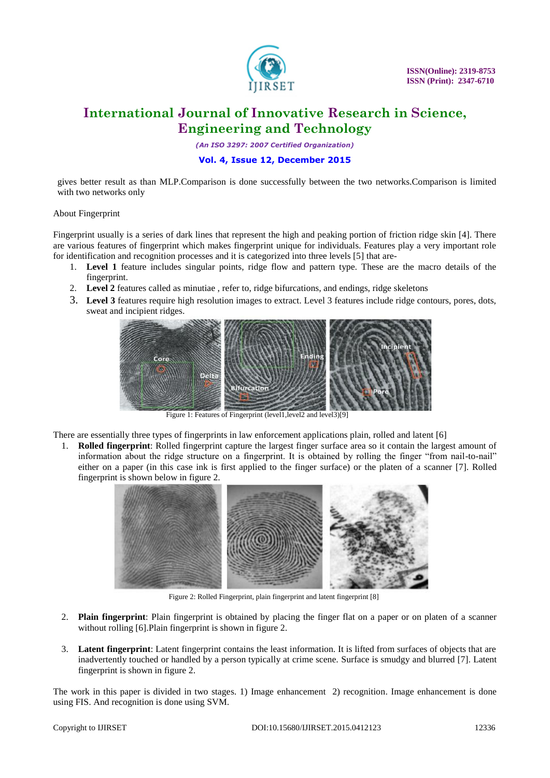

*(An ISO 3297: 2007 Certified Organization)*

### **Vol. 4, Issue 12, December 2015**

gives better result as than MLP.Comparison is done successfully between the two networks.Comparison is limited with two networks only

#### About Fingerprint

Fingerprint usually is a series of dark lines that represent the high and peaking portion of friction ridge skin [4]. There are various features of fingerprint which makes fingerprint unique for individuals. Features play a very important role for identification and recognition processes and it is categorized into three levels [5] that are-

- 1. **Level 1** feature includes singular points, ridge flow and pattern type. These are the macro details of the fingerprint.
- 2. **Level 2** features called as minutiae , refer to, ridge bifurcations, and endings, ridge skeletons
- 3. **Level 3** features require high resolution images to extract. Level 3 features include ridge contours, pores, dots, sweat and incipient ridges.



Figure 1: Features of Fingerprint (level1,level2 and level3)[9]

There are essentially three types of fingerprints in law enforcement applications plain, rolled and latent [6]

1. **Rolled fingerprint**: Rolled fingerprint capture the largest finger surface area so it contain the largest amount of information about the ridge structure on a fingerprint. It is obtained by rolling the finger "from nail-to-nail" either on a paper (in this case ink is first applied to the finger surface) or the platen of a scanner [7]. Rolled fingerprint is shown below in figure 2.



Figure 2: Rolled Fingerprint, plain fingerprint and latent fingerprint [8]

- 2. **Plain fingerprint**: Plain fingerprint is obtained by placing the finger flat on a paper or on platen of a scanner without rolling [6]. Plain fingerprint is shown in figure 2.
- 3. **Latent fingerprint**: Latent fingerprint contains the least information. It is lifted from surfaces of objects that are inadvertently touched or handled by a person typically at crime scene. Surface is smudgy and blurred [7]. Latent fingerprint is shown in figure 2.

The work in this paper is divided in two stages. 1) Image enhancement 2) recognition. Image enhancement is done using FIS. And recognition is done using SVM.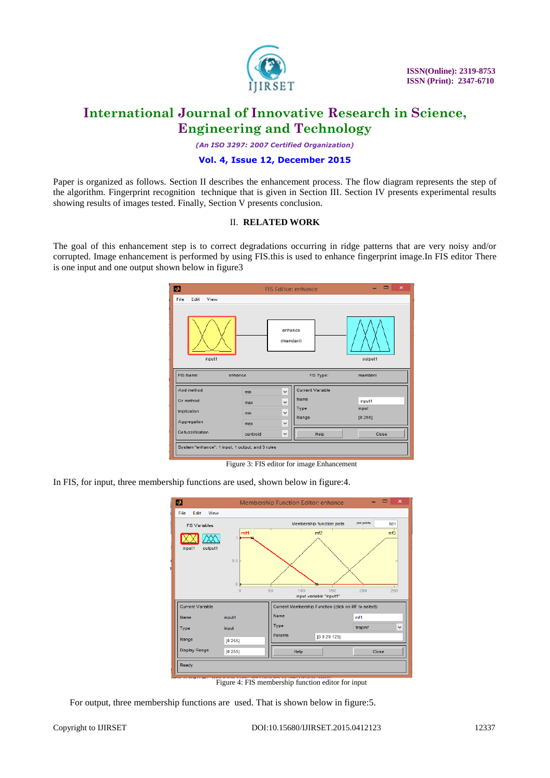

*(An ISO 3297: 2007 Certified Organization)*

### **Vol. 4, Issue 12, December 2015**

Paper is organized as follows. Section II describes the enhancement process. The flow diagram represents the step of the algorithm. Fingerprint recognition technique that is given in Section III. Section IV presents experimental results showing results of images tested. Finally, Section V presents conclusion.

#### II. **RELATED WORK**

The goal of this enhancement step is to correct degradations occurring in ridge patterns that are very noisy and/or corrupted. Image enhancement is performed by using FIS.this is used to enhance fingerprint image.In FIS editor There is one input and one output shown below in figure3

| и                                                |          |              | <b>FIS Editor: enhance</b> | $\Box$<br>$\times$ |  |
|--------------------------------------------------|----------|--------------|----------------------------|--------------------|--|
| File<br>Edit<br>View                             |          |              |                            |                    |  |
| enhance<br>(mamdani)<br>input1<br>output1        |          |              |                            |                    |  |
| FIS Name:<br>enhance                             |          |              | FIS Type:                  | mamdani            |  |
| And method                                       | min      | $\checkmark$ | <b>Current Variable</b>    |                    |  |
| Or method                                        | max      | $\checkmark$ | Name                       | input1             |  |
| Implication                                      | min      | $\checkmark$ | Type                       | input              |  |
| Aggregation                                      | max      | $\checkmark$ | Range                      | [0 255]            |  |
| Defuzzification                                  | centroid | $\checkmark$ | Help                       | Close              |  |
| System "enhance": 1 input, 1 output, and 3 rules |          |              |                            |                    |  |

Figure 3: FIS editor for image Enhancement

In FIS, for input, three membership functions are used, shown below in figure:4.



Figure 4: FIS membership function editor for input

For output, three membership functions are used. That is shown below in figure:5.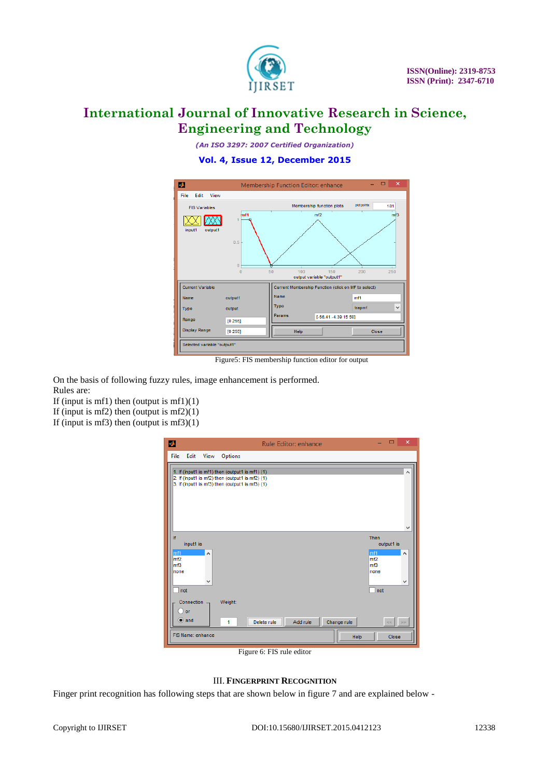

*(An ISO 3297: 2007 Certified Organization)*

### **Vol. 4, Issue 12, December 2015**



Figure5: FIS membership function editor for output

On the basis of following fuzzy rules, image enhancement is performed. Rules are:

If (input is mf1) then (output is mf1) $(1)$ 

If (input is mf2) then (output is mf2) $(1)$ 

If (input is mf3) then (output is mf3) $(1)$ 

| ш                                                                                                                                                     | Rule Editor: enhance.                              | $\mathsf{x}$<br>□                                                       |
|-------------------------------------------------------------------------------------------------------------------------------------------------------|----------------------------------------------------|-------------------------------------------------------------------------|
| File<br>Edit<br>View<br>Options                                                                                                                       |                                                    |                                                                         |
| 1. If (input1 is mf1) then (output1 is mf1) (1)<br>2. If (input1 is mf2) then (output1 is mf2) (1)<br>3. If (input1 is mf3) then (output1 is mf3) (1) |                                                    | ۸<br>v                                                                  |
| If<br>input1 is<br>mf1<br>×<br>mf2<br>mf3<br>none<br>v<br>not<br>Connection -<br>Weight:<br>$\sqrt{2}$ or                                             |                                                    | Then<br>output1 is<br>mf1<br>$\Delta$<br>mf2<br>mf3<br>none<br>v<br>not |
| $\bullet$ and<br>1<br>FIS Name: enhance                                                                                                               | Change rule<br>Delete rule<br>Add rule<br>Help     | <<<br>$>>$<br>Close                                                     |
|                                                                                                                                                       | $\Gamma$ , and $\Gamma$ , $\Gamma$ IC and a direct |                                                                         |

Figure 6: FIS rule editor

#### III. **FINGERPRINT RECOGNITION**

Finger print recognition has following steps that are shown below in figure 7 and are explained below -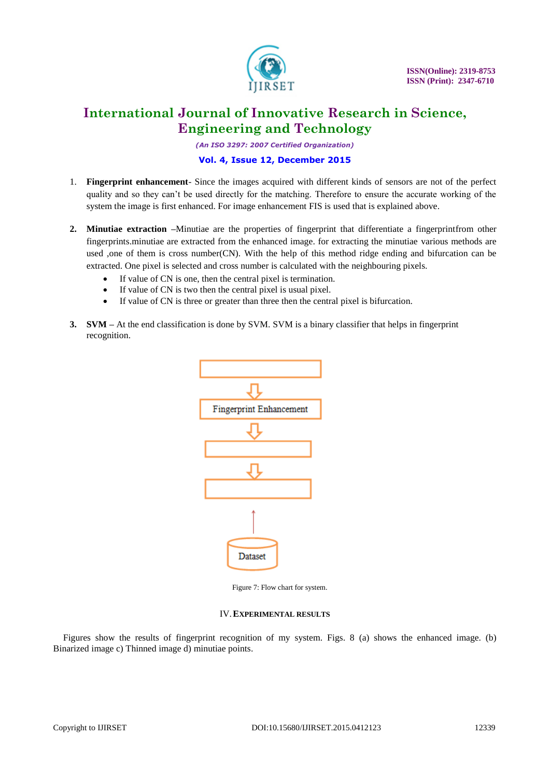

*(An ISO 3297: 2007 Certified Organization)*

### **Vol. 4, Issue 12, December 2015**

- 1. **Fingerprint enhancement** Since the images acquired with different kinds of sensors are not of the perfect quality and so they can't be used directly for the matching. Therefore to ensure the accurate working of the system the image is first enhanced. For image enhancement FIS is used that is explained above.
- **2. Minutiae extraction –**Minutiae are the properties of fingerprint that differentiate a fingerprintfrom other fingerprints.minutiae are extracted from the enhanced image. for extracting the minutiae various methods are used ,one of them is cross number(CN). With the help of this method ridge ending and bifurcation can be extracted. One pixel is selected and cross number is calculated with the neighbouring pixels.
	- If value of CN is one, then the central pixel is termination.
	- If value of CN is two then the central pixel is usual pixel.
	- If value of CN is three or greater than three then the central pixel is bifurcation.
- **3. SVM –** At the end classification is done by SVM. SVM is a binary classifier that helps in fingerprint recognition.



Figure 7: Flow chart for system.

### IV.**EXPERIMENTAL RESULTS**

Figures show the results of fingerprint recognition of my system. Figs. 8 (a) shows the enhanced image. (b) Binarized image c) Thinned image d) minutiae points.